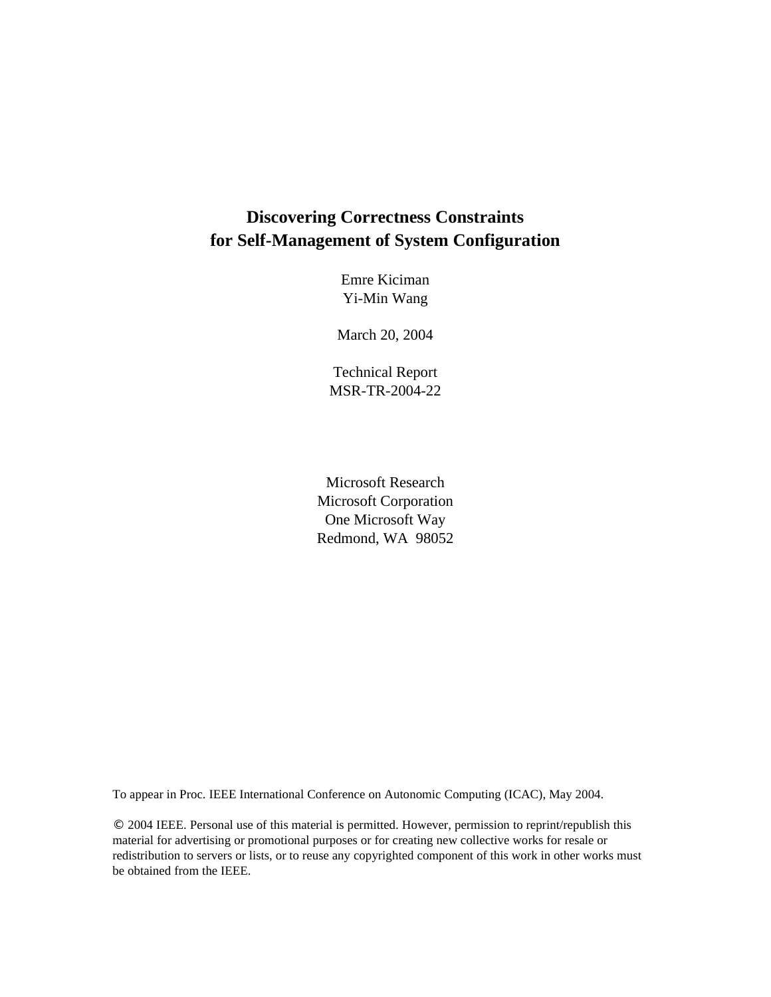# **Discovering Correctness Constraints for Self-Management of System Configuration**

Emre Kiciman Yi-Min Wang

March 20, 2004

Technical Report MSR-TR-2004-22

Microsoft Research Microsoft Corporation One Microsoft Way Redmond, WA 98052

To appear in Proc. IEEE International Conference on Autonomic Computing (ICAC), May 2004.

 2004 IEEE. Personal use of this material is permitted. However, permission to reprint/republish this material for advertising or promotional purposes or for creating new collective works for resale or redistribution to servers or lists, or to reuse any copyrighted component of this work in other works must be obtained from the IEEE.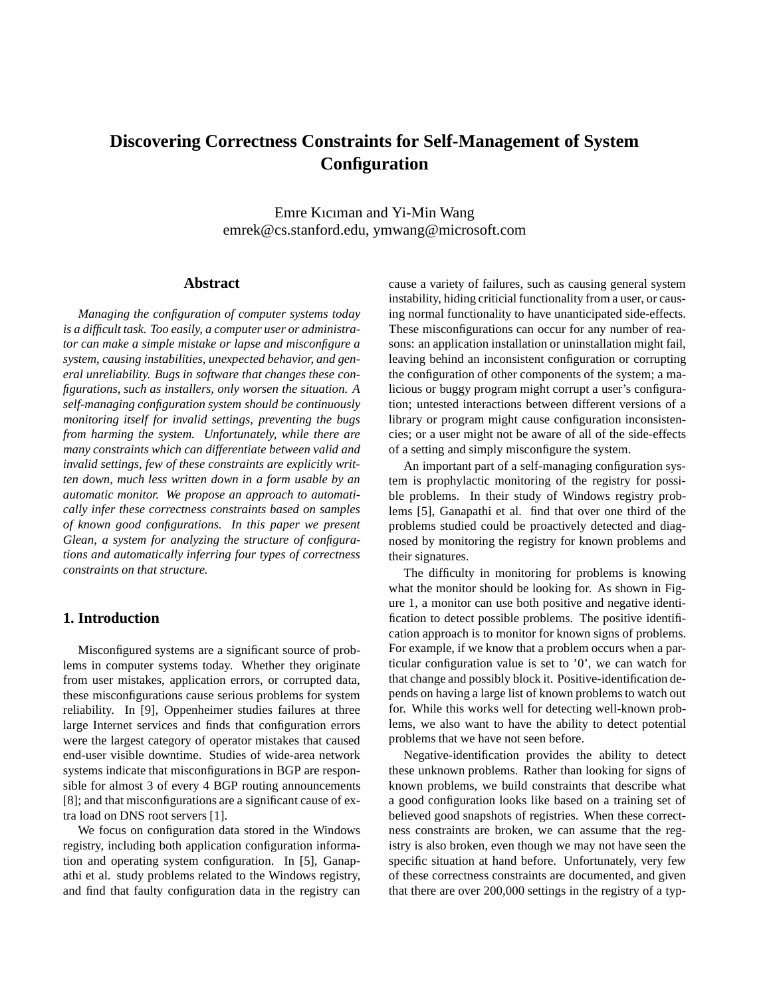# **Discovering Correctness Constraints for Self-Management of System Configuration**

Emre Kıcıman and Yi-Min Wang emrek@cs.stanford.edu, ymwang@microsoft.com

## **Abstract**

*Managing the configuration of computer systems today is a difficult task. Too easily, a computer user or administrator can make a simple mistake or lapse and misconfigure a system, causing instabilities, unexpected behavior, and general unreliability. Bugs in software that changes these configurations, such as installers, only worsen the situation. A self-managing configuration system should be continuously monitoring itself for invalid settings, preventing the bugs from harming the system. Unfortunately, while there are many constraints which can differentiate between valid and invalid settings, few of these constraints are explicitly written down, much less written down in a form usable by an automatic monitor. We propose an approach to automatically infer these correctness constraints based on samples of known good configurations. In this paper we present Glean, a system for analyzing the structure of configurations and automatically inferring four types of correctness constraints on that structure.*

## **1. Introduction**

Misconfigured systems are a significant source of problems in computer systems today. Whether they originate from user mistakes, application errors, or corrupted data, these misconfigurations cause serious problems for system reliability. In [9], Oppenheimer studies failures at three large Internet services and finds that configuration errors were the largest category of operator mistakes that caused end-user visible downtime. Studies of wide-area network systems indicate that misconfigurations in BGP are responsible for almost 3 of every 4 BGP routing announcements [8]; and that misconfigurations are a significant cause of extra load on DNS root servers [1].

We focus on configuration data stored in the Windows registry, including both application configuration information and operating system configuration. In [5], Ganapathi et al. study problems related to the Windows registry, and find that faulty configuration data in the registry can cause a variety of failures, such as causing general system instability, hiding criticial functionality from a user, or causing normal functionality to have unanticipated side-effects. These misconfigurations can occur for any number of reasons: an application installation or uninstallation might fail, leaving behind an inconsistent configuration or corrupting the configuration of other components of the system; a malicious or buggy program might corrupt a user's configuration; untested interactions between different versions of a library or program might cause configuration inconsistencies; or a user might not be aware of all of the side-effects of a setting and simply misconfigure the system.

An important part of a self-managing configuration system is prophylactic monitoring of the registry for possible problems. In their study of Windows registry problems [5], Ganapathi et al. find that over one third of the problems studied could be proactively detected and diagnosed by monitoring the registry for known problems and their signatures.

The difficulty in monitoring for problems is knowing what the monitor should be looking for. As shown in Figure 1, a monitor can use both positive and negative identification to detect possible problems. The positive identification approach is to monitor for known signs of problems. For example, if we know that a problem occurs when a particular configuration value is set to '0', we can watch for that change and possibly block it. Positive-identification depends on having a large list of known problems to watch out for. While this works well for detecting well-known problems, we also want to have the ability to detect potential problems that we have not seen before.

Negative-identification provides the ability to detect these unknown problems. Rather than looking for signs of known problems, we build constraints that describe what a good configuration looks like based on a training set of believed good snapshots of registries. When these correctness constraints are broken, we can assume that the registry is also broken, even though we may not have seen the specific situation at hand before. Unfortunately, very few of these correctness constraints are documented, and given that there are over 200,000 settings in the registry of a typ-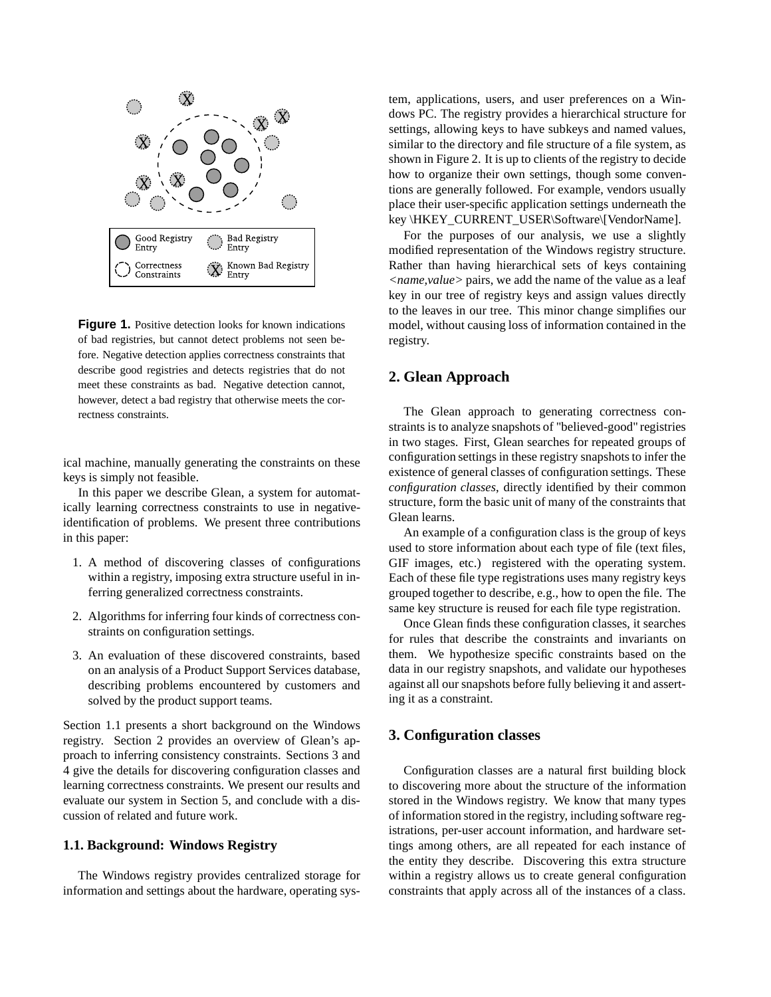

**Figure 1.** Positive detection looks for known indications of bad registries, but cannot detect problems not seen before. Negative detection applies correctness constraints that describe good registries and detects registries that do not meet these constraints as bad. Negative detection cannot, however, detect a bad registry that otherwise meets the correctness constraints.

ical machine, manually generating the constraints on these keys is simply not feasible.

In this paper we describe Glean, a system for automatically learning correctness constraints to use in negativeidentification of problems. We present three contributions in this paper:

- 1. A method of discovering classes of configurations within a registry, imposing extra structure useful in inferring generalized correctness constraints.
- 2. Algorithms for inferring four kinds of correctness constraints on configuration settings.
- 3. An evaluation of these discovered constraints, based on an analysis of a Product Support Services database, describing problems encountered by customers and solved by the product support teams.

Section 1.1 presents a short background on the Windows registry. Section 2 provides an overview of Glean's approach to inferring consistency constraints. Sections 3 and 4 give the details for discovering configuration classes and learning correctness constraints. We present our results and evaluate our system in Section 5, and conclude with a discussion of related and future work.

## **1.1. Background: Windows Registry**

The Windows registry provides centralized storage for information and settings about the hardware, operating system, applications, users, and user preferences on a Windows PC. The registry provides a hierarchical structure for settings, allowing keys to have subkeys and named values, similar to the directory and file structure of a file system, as shown in Figure 2. It is up to clients of the registry to decide how to organize their own settings, though some conventions are generally followed. For example, vendors usually place their user-specific application settings underneath the key \HKEY\_CURRENT\_USER\Software\[VendorName].

For the purposes of our analysis, we use a slightly modified representation of the Windows registry structure. Rather than having hierarchical sets of keys containing *<name,value>* pairs, we add the name of the value as a leaf key in our tree of registry keys and assign values directly to the leaves in our tree. This minor change simplifies our model, without causing loss of information contained in the registry.

## **2. Glean Approach**

The Glean approach to generating correctness constraints is to analyze snapshots of "believed-good" registries in two stages. First, Glean searches for repeated groups of configuration settings in these registry snapshots to infer the existence of general classes of configuration settings. These *configuration classes*, directly identified by their common structure, form the basic unit of many of the constraints that Glean learns.

An example of a configuration class is the group of keys used to store information about each type of file (text files, GIF images, etc.) registered with the operating system. Each of these file type registrations uses many registry keys grouped together to describe, e.g., how to open the file. The same key structure is reused for each file type registration.

Once Glean finds these configuration classes, it searches for rules that describe the constraints and invariants on them. We hypothesize specific constraints based on the data in our registry snapshots, and validate our hypotheses against all our snapshots before fully believing it and asserting it as a constraint.

## **3. Configuration classes**

Configuration classes are a natural first building block to discovering more about the structure of the information stored in the Windows registry. We know that many types of information stored in the registry, including software registrations, per-user account information, and hardware settings among others, are all repeated for each instance of the entity they describe. Discovering this extra structure within a registry allows us to create general configuration constraints that apply across all of the instances of a class.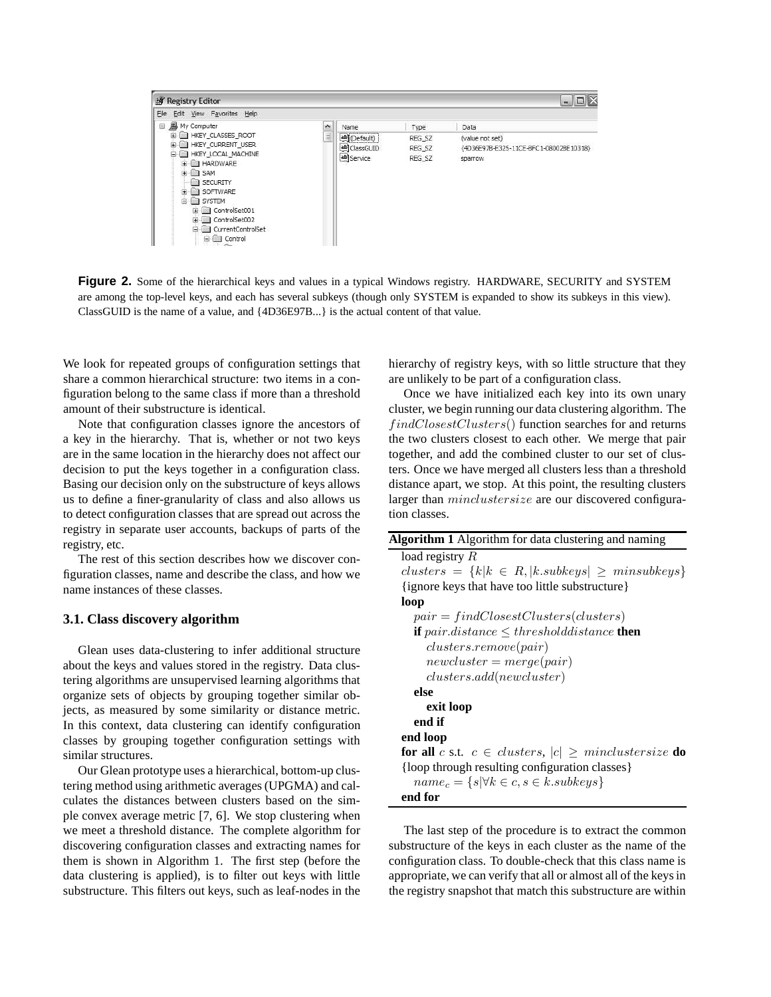

**Figure 2.** Some of the hierarchical keys and values in a typical Windows registry. HARDWARE, SECURITY and SYSTEM are among the top-level keys, and each has several subkeys (though only SYSTEM is expanded to show its subkeys in this view). ClassGUID is the name of a value, and {4D36E97B...} is the actual content of that value.

We look for repeated groups of configuration settings that share a common hierarchical structure: two items in a configuration belong to the same class if more than a threshold amount of their substructure is identical.

Note that configuration classes ignore the ancestors of a key in the hierarchy. That is, whether or not two keys are in the same location in the hierarchy does not affect our decision to put the keys together in a configuration class. Basing our decision only on the substructure of keys allows us to define a finer-granularity of class and also allows us to detect configuration classes that are spread out across the registry in separate user accounts, backups of parts of the registry, etc.

The rest of this section describes how we discover configuration classes, name and describe the class, and how we name instances of these classes.

#### **3.1. Class discovery algorithm**

Glean uses data-clustering to infer additional structure about the keys and values stored in the registry. Data clustering algorithms are unsupervised learning algorithms that organize sets of objects by grouping together similar objects, as measured by some similarity or distance metric. In this context, data clustering can identify configuration classes by grouping together configuration settings with similar structures.

Our Glean prototype uses a hierarchical, bottom-up clustering method using arithmetic averages (UPGMA) and calculates the distances between clusters based on the simple convex average metric [7, 6]. We stop clustering when we meet a threshold distance. The complete algorithm for discovering configuration classes and extracting names for them is shown in Algorithm 1. The first step (before the data clustering is applied), is to filter out keys with little substructure. This filters out keys, such as leaf-nodes in the hierarchy of registry keys, with so little structure that they are unlikely to be part of a configuration class.

Once we have initialized each key into its own unary cluster, we begin running our data clustering algorithm. The findClosestClusters() function searches for and returns the two clusters closest to each other. We merge that pair together, and add the combined cluster to our set of clusters. Once we have merged all clusters less than a threshold distance apart, we stop. At this point, the resulting clusters larger than minclustersize are our discovered configuration classes.

| <b>Algorithm 1</b> Algorithm for data clustering and naming               |
|---------------------------------------------------------------------------|
| load registry $R$                                                         |
| $clusters = \{k   k \in R,   k.subkeys  \geq minsubkeys\}$                |
| {ignore keys that have too little substructure}                           |
| loop                                                                      |
| $pair = findClosestClusters(clusters)$                                    |
| <b>if</b> pair.distance $\leq$ threshold distance <b>then</b>             |
| clusters. remove(pair)                                                    |
| $newcluster = merge(pair)$                                                |
| clusters.add(newcluster)                                                  |
| else                                                                      |
| exit loop                                                                 |
| end if                                                                    |
| end loop                                                                  |
| <b>for all</b> c s.t. $c \in clusters,  c  \geq minclustersize$ <b>do</b> |
| {loop through resulting configuration classes}                            |
| $name_c = \{s   \forall k \in c, s \in k.subkeys\}$                       |
| end for                                                                   |

The last step of the procedure is to extract the common substructure of the keys in each cluster as the name of the configuration class. To double-check that this class name is appropriate, we can verify that all or almost all of the keysin the registry snapshot that match this substructure are within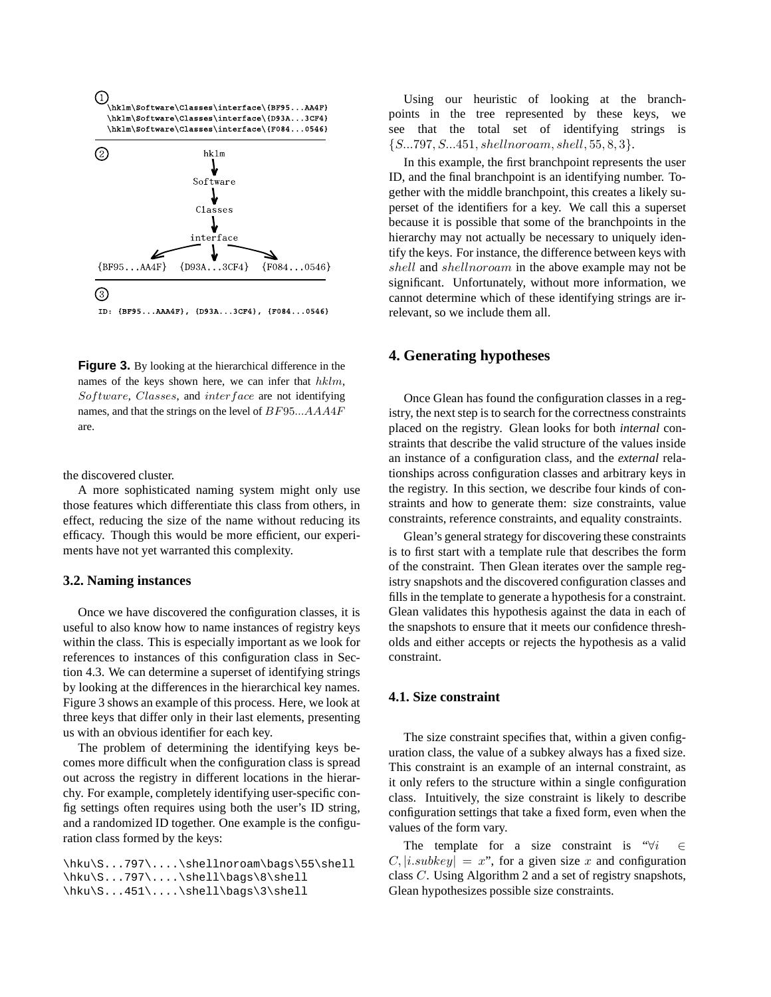

**Figure 3.** By looking at the hierarchical difference in the names of the keys shown here, we can infer that  $hklm$ , Software, Classes, and interface are not identifying names, and that the strings on the level of BF95...AAA4F are.

the discovered cluster.

A more sophisticated naming system might only use those features which differentiate this class from others, in effect, reducing the size of the name without reducing its efficacy. Though this would be more efficient, our experiments have not yet warranted this complexity.

#### **3.2. Naming instances**

Once we have discovered the configuration classes, it is useful to also know how to name instances of registry keys within the class. This is especially important as we look for references to instances of this configuration class in Section 4.3. We can determine a superset of identifying strings by looking at the differences in the hierarchical key names. Figure 3 shows an example of this process. Here, we look at three keys that differ only in their last elements, presenting us with an obvious identifier for each key.

The problem of determining the identifying keys becomes more difficult when the configuration class is spread out across the registry in different locations in the hierarchy. For example, completely identifying user-specific config settings often requires using both the user's ID string, and a randomized ID together. One example is the configuration class formed by the keys:

\hku\S...797\....\shellnoroam\bags\55\shell \hku\S...797\....\shell\bags\8\shell \hku\S...451\....\shell\bags\3\shell

Using our heuristic of looking at the branchpoints in the tree represented by these keys, we see that the total set of identifying strings is  $\{S...797, S...451, shell noroam, shell, 55, 8, 3\}.$ 

In this example, the first branchpoint represents the user ID, and the final branchpoint is an identifying number. Together with the middle branchpoint, this creates a likely superset of the identifiers for a key. We call this a superset because it is possible that some of the branchpoints in the hierarchy may not actually be necessary to uniquely identify the keys. For instance, the difference between keys with shell and shellnoroam in the above example may not be significant. Unfortunately, without more information, we cannot determine which of these identifying strings are irrelevant, so we include them all.

## **4. Generating hypotheses**

Once Glean has found the configuration classes in a registry, the next step is to search for the correctness constraints placed on the registry. Glean looks for both *internal* constraints that describe the valid structure of the values inside an instance of a configuration class, and the *external* relationships across configuration classes and arbitrary keys in the registry. In this section, we describe four kinds of constraints and how to generate them: size constraints, value constraints, reference constraints, and equality constraints.

Glean's general strategy for discovering these constraints is to first start with a template rule that describes the form of the constraint. Then Glean iterates over the sample registry snapshots and the discovered configuration classes and fills in the template to generate a hypothesis for a constraint. Glean validates this hypothesis against the data in each of the snapshots to ensure that it meets our confidence thresholds and either accepts or rejects the hypothesis as a valid constraint.

#### **4.1. Size constraint**

The size constraint specifies that, within a given configuration class, the value of a subkey always has a fixed size. This constraint is an example of an internal constraint, as it only refers to the structure within a single configuration class. Intuitively, the size constraint is likely to describe configuration settings that take a fixed form, even when the values of the form vary.

The template for a size constraint is " $\forall i \in \mathbb{R}$  $C, |i.subkey| = x$ ", for a given size x and configuration class C. Using Algorithm 2 and a set of registry snapshots, Glean hypothesizes possible size constraints.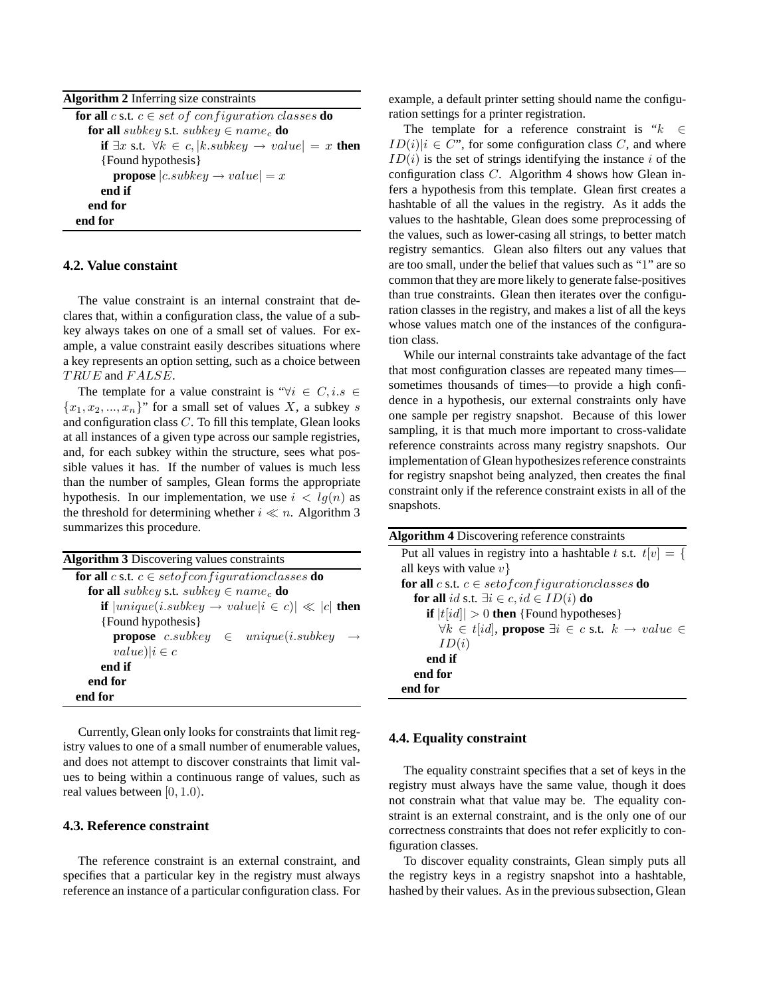**Algorithm 2** Inferring size constraints

**for all** c s.t.  $c \in set$  of configuration classes **do for all** subkey s.t. subkey  $\in$  name<sub>c</sub> **do if**  $∃x$  s.t.  $∀k ∈ c, |k.subkey → value| = x$  **then** {Found hypothesis} **propose**  $|c.subkey \rightarrow value| = x$ **end if end for end for**

#### **4.2. Value constaint**

The value constraint is an internal constraint that declares that, within a configuration class, the value of a subkey always takes on one of a small set of values. For example, a value constraint easily describes situations where a key represents an option setting, such as a choice between TRUE and FALSE.

The template for a value constraint is " $\forall i \in C, i.s \in$  ${x_1, x_2, ..., x_n}$ " for a small set of values X, a subkey s and configuration class C. To fill this template, Glean looks at all instances of a given type across our sample registries, and, for each subkey within the structure, sees what possible values it has. If the number of values is much less than the number of samples, Glean forms the appropriate hypothesis. In our implementation, we use  $i < lg(n)$  as the threshold for determining whether  $i \ll n$ . Algorithm 3 summarizes this procedure.

| <b>Algorithm 3</b> Discovering values constraints                            |
|------------------------------------------------------------------------------|
| <b>for all</b> c s.t. $c \in set of configuration classes$ <b>do</b>         |
| <b>for all</b> subkey s.t. subkey $\in$ name <sub>c</sub> do                 |
| <b>if</b> $ unique(i.subkey \rightarrow value i \in c)  \ll  c $ <b>then</b> |
| {Found hypothesis}                                                           |
| <b>propose</b> c.subkey $\in$ unique( <i>i.subkey</i> $\rightarrow$          |
| $value$ $ i \in c$                                                           |
| end if                                                                       |
| end for                                                                      |
| end for                                                                      |

Currently, Glean only looks for constraints that limit registry values to one of a small number of enumerable values, and does not attempt to discover constraints that limit values to being within a continuous range of values, such as real values between [0, 1.0).

#### **4.3. Reference constraint**

The reference constraint is an external constraint, and specifies that a particular key in the registry must always reference an instance of a particular configuration class. For example, a default printer setting should name the configuration settings for a printer registration.

The template for a reference constraint is " $k \in \mathbb{R}$  $ID(i)|i \in C$ ", for some configuration class C, and where  $ID(i)$  is the set of strings identifying the instance i of the configuration class C. Algorithm 4 shows how Glean infers a hypothesis from this template. Glean first creates a hashtable of all the values in the registry. As it adds the values to the hashtable, Glean does some preprocessing of the values, such as lower-casing all strings, to better match registry semantics. Glean also filters out any values that are too small, under the belief that values such as "1" are so common that they are more likely to generate false-positives than true constraints. Glean then iterates over the configuration classes in the registry, and makes a list of all the keys whose values match one of the instances of the configuration class.

While our internal constraints take advantage of the fact that most configuration classes are repeated many times sometimes thousands of times—to provide a high confidence in a hypothesis, our external constraints only have one sample per registry snapshot. Because of this lower sampling, it is that much more important to cross-validate reference constraints across many registry snapshots. Our implementation of Glean hypothesizes reference constraints for registry snapshot being analyzed, then creates the final constraint only if the reference constraint exists in all of the snapshots.

| <b>Algorithm 4</b> Discovering reference constraints                              |
|-----------------------------------------------------------------------------------|
| Put all values in registry into a hashtable t s.t. $t[v] = \{$                    |
| all keys with value $v$ }                                                         |
| <b>for all</b> c s.t. $c \in set of configuration classes$ <b>do</b>              |
| <b>for all</b> id s.t. $\exists i \in c$ , id $\in ID(i)$ <b>do</b>               |
| <b>if</b> $ t(id   > 0$ <b>then</b> {Found hypotheses}                            |
| $\forall k \in t[i,d]$ , propose $\exists i \in c$ s.t. $k \rightarrow value \in$ |
| ID(i)                                                                             |
| end if                                                                            |
| end for                                                                           |
| end for                                                                           |

#### **4.4. Equality constraint**

The equality constraint specifies that a set of keys in the registry must always have the same value, though it does not constrain what that value may be. The equality constraint is an external constraint, and is the only one of our correctness constraints that does not refer explicitly to configuration classes.

To discover equality constraints, Glean simply puts all the registry keys in a registry snapshot into a hashtable, hashed by their values. As in the previous subsection, Glean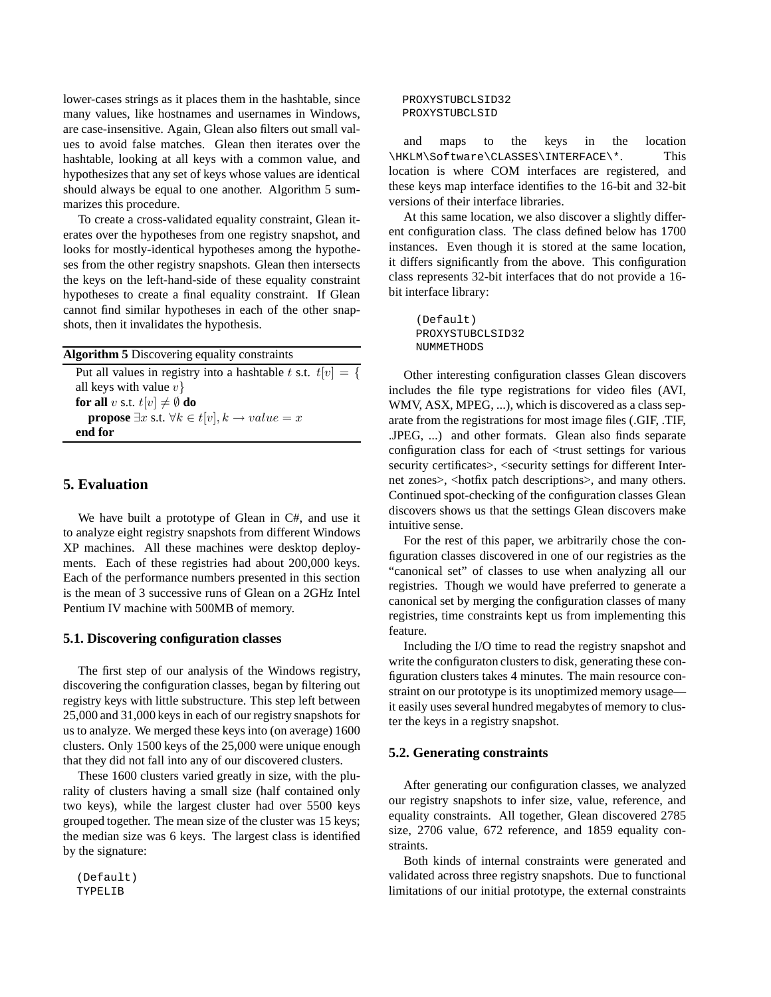lower-cases strings as it places them in the hashtable, since many values, like hostnames and usernames in Windows, are case-insensitive. Again, Glean also filters out small values to avoid false matches. Glean then iterates over the hashtable, looking at all keys with a common value, and hypothesizes that any set of keys whose values are identical should always be equal to one another. Algorithm 5 summarizes this procedure.

To create a cross-validated equality constraint, Glean iterates over the hypotheses from one registry snapshot, and looks for mostly-identical hypotheses among the hypotheses from the other registry snapshots. Glean then intersects the keys on the left-hand-side of these equality constraint hypotheses to create a final equality constraint. If Glean cannot find similar hypotheses in each of the other snapshots, then it invalidates the hypothesis.

| <b>Algorithm 5</b> Discovering equality constraints                           |  |
|-------------------------------------------------------------------------------|--|
| Put all values in registry into a hashtable t s.t. $t[v] = \{$                |  |
| all keys with value $v$ }                                                     |  |
| <b>for all</b> v s.t. $t[v] \neq \emptyset$ <b>do</b>                         |  |
| <b>propose</b> $\exists x$ s.t. $\forall k \in t[v], k \rightarrow value = x$ |  |
| end for                                                                       |  |

## **5. Evaluation**

We have built a prototype of Glean in C#, and use it to analyze eight registry snapshots from different Windows XP machines. All these machines were desktop deployments. Each of these registries had about 200,000 keys. Each of the performance numbers presented in this section is the mean of 3 successive runs of Glean on a 2GHz Intel Pentium IV machine with 500MB of memory.

#### **5.1. Discovering configuration classes**

The first step of our analysis of the Windows registry, discovering the configuration classes, began by filtering out registry keys with little substructure. This step left between 25,000 and 31,000 keys in each of our registry snapshots for us to analyze. We merged these keys into (on average) 1600 clusters. Only 1500 keys of the 25,000 were unique enough that they did not fall into any of our discovered clusters.

These 1600 clusters varied greatly in size, with the plurality of clusters having a small size (half contained only two keys), while the largest cluster had over 5500 keys grouped together. The mean size of the cluster was 15 keys; the median size was 6 keys. The largest class is identified by the signature:

(Default) TYPELIB

#### PROXYSTUBCLSID32 PROXYSTUBCLSID

and maps to the keys in the location \HKLM\Software\CLASSES\INTERFACE\\*. This location is where COM interfaces are registered, and these keys map interface identifies to the 16-bit and 32-bit versions of their interface libraries.

At this same location, we also discover a slightly different configuration class. The class defined below has 1700 instances. Even though it is stored at the same location, it differs significantly from the above. This configuration class represents 32-bit interfaces that do not provide a 16 bit interface library:

```
(Default)
PROXYSTUBCLSID32
NUMMETHODS
```
Other interesting configuration classes Glean discovers includes the file type registrations for video files (AVI, WMV, ASX, MPEG, ...), which is discovered as a class separate from the registrations for most image files (.GIF, .TIF, .JPEG, ...) and other formats. Glean also finds separate configuration class for each of <trust settings for various security certificates>, <security settings for different Internet zones>, <hotfix patch descriptions>, and many others. Continued spot-checking of the configuration classes Glean discovers shows us that the settings Glean discovers make intuitive sense.

For the rest of this paper, we arbitrarily chose the configuration classes discovered in one of our registries as the "canonical set" of classes to use when analyzing all our registries. Though we would have preferred to generate a canonical set by merging the configuration classes of many registries, time constraints kept us from implementing this feature.

Including the I/O time to read the registry snapshot and write the configuraton clusters to disk, generating these configuration clusters takes 4 minutes. The main resource constraint on our prototype is its unoptimized memory usage it easily uses several hundred megabytes of memory to cluster the keys in a registry snapshot.

#### **5.2. Generating constraints**

After generating our configuration classes, we analyzed our registry snapshots to infer size, value, reference, and equality constraints. All together, Glean discovered 2785 size, 2706 value, 672 reference, and 1859 equality constraints.

Both kinds of internal constraints were generated and validated across three registry snapshots. Due to functional limitations of our initial prototype, the external constraints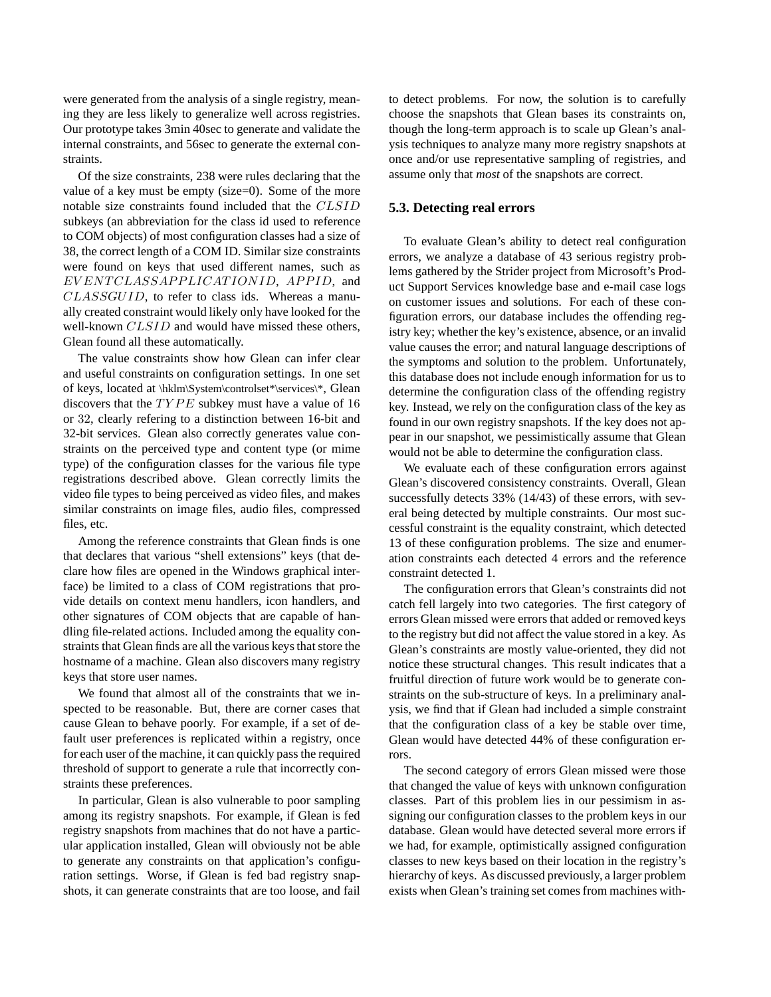were generated from the analysis of a single registry, meaning they are less likely to generalize well across registries. Our prototype takes 3min 40sec to generate and validate the internal constraints, and 56sec to generate the external constraints.

Of the size constraints, 238 were rules declaring that the value of a key must be empty (size=0). Some of the more notable size constraints found included that the CLSID subkeys (an abbreviation for the class id used to reference to COM objects) of most configuration classes had a size of 38, the correct length of a COM ID. Similar size constraints were found on keys that used different names, such as EV ENT CLASS APPLICATIONID, APPID, and CLASSGUID, to refer to class ids. Whereas a manually created constraint would likely only have looked for the well-known CLSID and would have missed these others, Glean found all these automatically.

The value constraints show how Glean can infer clear and useful constraints on configuration settings. In one set of keys, located at \hklm\System\controlset\*\services\\*, Glean discovers that the TY PE subkey must have a value of 16 or 32, clearly refering to a distinction between 16-bit and 32-bit services. Glean also correctly generates value constraints on the perceived type and content type (or mime type) of the configuration classes for the various file type registrations described above. Glean correctly limits the video file types to being perceived as video files, and makes similar constraints on image files, audio files, compressed files, etc.

Among the reference constraints that Glean finds is one that declares that various "shell extensions" keys (that declare how files are opened in the Windows graphical interface) be limited to a class of COM registrations that provide details on context menu handlers, icon handlers, and other signatures of COM objects that are capable of handling file-related actions. Included among the equality constraints that Glean finds are all the various keysthat store the hostname of a machine. Glean also discovers many registry keys that store user names.

We found that almost all of the constraints that we inspected to be reasonable. But, there are corner cases that cause Glean to behave poorly. For example, if a set of default user preferences is replicated within a registry, once for each user of the machine, it can quickly pass the required threshold of support to generate a rule that incorrectly constraints these preferences.

In particular, Glean is also vulnerable to poor sampling among its registry snapshots. For example, if Glean is fed registry snapshots from machines that do not have a particular application installed, Glean will obviously not be able to generate any constraints on that application's configuration settings. Worse, if Glean is fed bad registry snapshots, it can generate constraints that are too loose, and fail to detect problems. For now, the solution is to carefully choose the snapshots that Glean bases its constraints on, though the long-term approach is to scale up Glean's analysis techniques to analyze many more registry snapshots at once and/or use representative sampling of registries, and assume only that *most* of the snapshots are correct.

#### **5.3. Detecting real errors**

To evaluate Glean's ability to detect real configuration errors, we analyze a database of 43 serious registry problems gathered by the Strider project from Microsoft's Product Support Services knowledge base and e-mail case logs on customer issues and solutions. For each of these configuration errors, our database includes the offending registry key; whether the key's existence, absence, or an invalid value causes the error; and natural language descriptions of the symptoms and solution to the problem. Unfortunately, this database does not include enough information for us to determine the configuration class of the offending registry key. Instead, we rely on the configuration class of the key as found in our own registry snapshots. If the key does not appear in our snapshot, we pessimistically assume that Glean would not be able to determine the configuration class.

We evaluate each of these configuration errors against Glean's discovered consistency constraints. Overall, Glean successfully detects 33% (14/43) of these errors, with several being detected by multiple constraints. Our most successful constraint is the equality constraint, which detected 13 of these configuration problems. The size and enumeration constraints each detected 4 errors and the reference constraint detected 1.

The configuration errors that Glean's constraints did not catch fell largely into two categories. The first category of errors Glean missed were errors that added or removed keys to the registry but did not affect the value stored in a key. As Glean's constraints are mostly value-oriented, they did not notice these structural changes. This result indicates that a fruitful direction of future work would be to generate constraints on the sub-structure of keys. In a preliminary analysis, we find that if Glean had included a simple constraint that the configuration class of a key be stable over time, Glean would have detected 44% of these configuration errors.

The second category of errors Glean missed were those that changed the value of keys with unknown configuration classes. Part of this problem lies in our pessimism in assigning our configuration classes to the problem keys in our database. Glean would have detected several more errors if we had, for example, optimistically assigned configuration classes to new keys based on their location in the registry's hierarchy of keys. As discussed previously, a larger problem exists when Glean's training set comes from machines with-